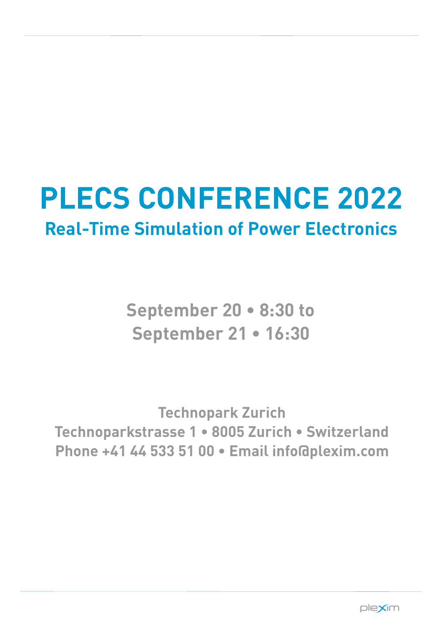# **PLECS CONFERENCE 2022 Real-Time Simulation of Power Electronics**

**September 20 • 8:30 to September 21 • 16:30**

**Technopark Zurich Technoparkstrasse 1 • 8005 Zurich • Switzerland Phone +41 44 533 51 00 • Email info@plexim.com**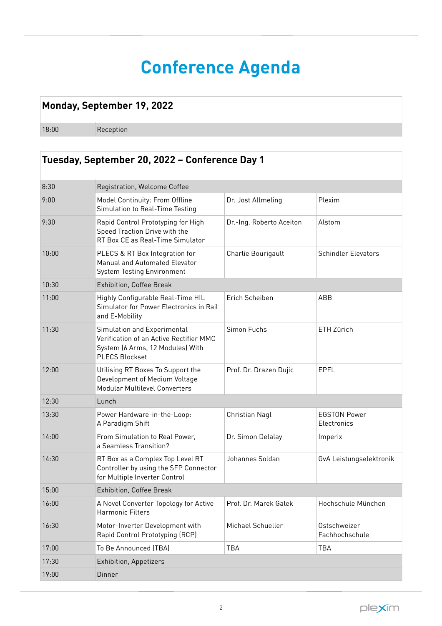## **Conference Agenda**

#### **Monday, September 19, 2022**

18:00 Reception

#### **Tuesday, September 20, 2022 – Conference Day 1** 8:30 Registration, Welcome Coffee 9:00 Model Continuity: From Offline Simulation to Real-Time Testing Dr. Jost Allmeling Plexim 9:30 Rapid Control Prototyping for High Speed Traction Drive with the RT Box CE as Real-Time Simulator Dr.-Ing. Roberto Aceiton | Alstom 10:00 PLECS & RT Box Integration for Manual and Automated Elevator System Testing Environment Charlie Bourigault Schindler Elevators 10:30 Exhibition, Coffee Break 11:00 Highly Configurable Real-Time HIL Simulator for Power Electronics in Rail and E-Mobility Erich Scheiben ABB 11:30 Simulation and Experimental Verification of an Active Rectifier MMC System (6 Arms, 12 Modules) With PLECS Blockset Simon Fuchs **ETH Zürich** 12:00 Utilising RT Boxes To Support the Development of Medium Voltage Modular Multilevel Converters Prof. Dr. Drazen Dujic EPFL 12:30 Lunch 13:30 Power Hardware-in-the-Loop: A Paradigm Shift Christian Nagl **EGSTON** Power **Electronics** 14:00 From Simulation to Real Power, a Seamless Transition? Dr. Simon Delalay | Imperix 14:30 RT Box as a Complex Top Level RT Controller by using the SFP Connector for Multiple Inverter Control Johannes Soldan GvA Leistungselektronik 15:00 Exhibition, Coffee Break



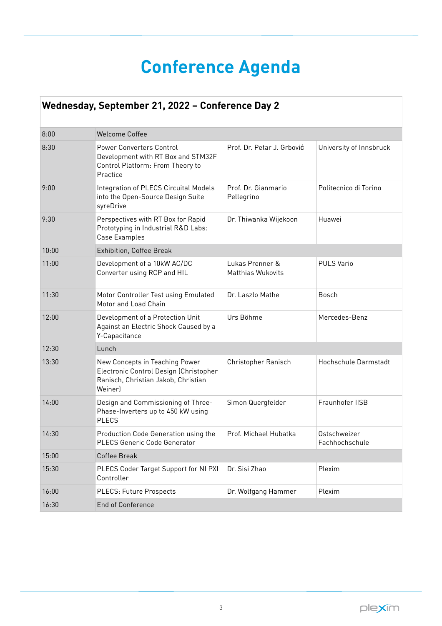## **Conference Agenda**

| Wednesday, September 21, 2022 - Conference Day 2 |                                                                                                                            |                                             |                                |  |
|--------------------------------------------------|----------------------------------------------------------------------------------------------------------------------------|---------------------------------------------|--------------------------------|--|
| 8:00                                             | <b>Welcome Coffee</b>                                                                                                      |                                             |                                |  |
| 8:30                                             | Power Converters Control<br>Development with RT Box and STM32F<br>Control Platform: From Theory to<br>Practice             | Prof. Dr. Petar J. Grbović                  | University of Innsbruck        |  |
| 9:00                                             | Integration of PLECS Circuital Models<br>into the Open-Source Design Suite<br>syreDrive                                    | Prof. Dr. Gianmario<br>Pellegrino           | Politecnico di Torino          |  |
| 9:30                                             | Perspectives with RT Box for Rapid<br>Prototyping in Industrial R&D Labs:<br>Case Examples                                 | Dr. Thiwanka Wijekoon                       | Huawei                         |  |
| 10:00                                            | Exhibition, Coffee Break                                                                                                   |                                             |                                |  |
| 11:00                                            | Development of a 10kW AC/DC<br>Converter using RCP and HIL                                                                 | Lukas Prenner &<br><b>Matthias Wukovits</b> | <b>PULS Vario</b>              |  |
| 11:30                                            | Motor Controller Test using Emulated<br>Motor and Load Chain                                                               | Dr. Laszlo Mathe                            | <b>Bosch</b>                   |  |
| 12:00                                            | Development of a Protection Unit<br>Against an Electric Shock Caused by a<br>Y-Capacitance                                 | Urs Böhme                                   | Mercedes-Benz                  |  |
| 12:30                                            | Lunch                                                                                                                      |                                             |                                |  |
| 13:30                                            | New Concepts in Teaching Power<br>Electronic Control Design (Christopher<br>Ranisch, Christian Jakob, Christian<br>Weiner) | Christopher Ranisch                         | Hochschule Darmstadt           |  |
| 14:00                                            | Design and Commissioning of Three-<br>Phase-Inverters up to 450 kW using<br><b>PLECS</b>                                   | Simon Quergfelder                           | Fraunhofer IISB                |  |
| 14:30                                            | Production Code Generation using the<br><b>PLECS Generic Code Generator</b>                                                | Prof. Michael Hubatka                       | Ostschweizer<br>Fachhochschule |  |
| 15:00                                            | Coffee Break                                                                                                               |                                             |                                |  |
| 15:30                                            | PLECS Coder Target Support for NI PXI<br>Controller                                                                        | Dr. Sisi Zhao                               | Plexim                         |  |
| 16:00                                            | PLECS: Future Prospects                                                                                                    | Dr. Wolfgang Hammer                         | Plexim                         |  |
| 16:30                                            | End of Conference                                                                                                          |                                             |                                |  |

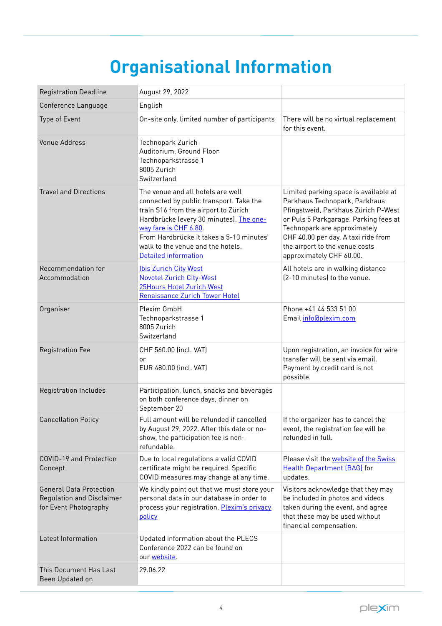# **Organisational Information**

| <b>Registration Deadline</b>                                                         | August 29, 2022                                                                                                                                                                                                                                                                                          |                                                                                                                                                                                                                                                                                             |
|--------------------------------------------------------------------------------------|----------------------------------------------------------------------------------------------------------------------------------------------------------------------------------------------------------------------------------------------------------------------------------------------------------|---------------------------------------------------------------------------------------------------------------------------------------------------------------------------------------------------------------------------------------------------------------------------------------------|
| Conference Language                                                                  | English                                                                                                                                                                                                                                                                                                  |                                                                                                                                                                                                                                                                                             |
| Type of Event                                                                        | On-site only, limited number of participants                                                                                                                                                                                                                                                             | There will be no virtual replacement<br>for this event.                                                                                                                                                                                                                                     |
| Venue Address                                                                        | Technopark Zurich<br>Auditorium, Ground Floor<br>Technoparkstrasse 1<br>8005 Zurich<br>Switzerland                                                                                                                                                                                                       |                                                                                                                                                                                                                                                                                             |
| <b>Travel and Directions</b>                                                         | The venue and all hotels are well<br>connected by public transport. Take the<br>train S16 from the airport to Zürich<br>Hardbrücke (every 30 minutes). The one-<br>way fare is CHF 6.80.<br>From Hardbrücke it takes a 5-10 minutes'<br>walk to the venue and the hotels.<br><b>Detailed information</b> | Limited parking space is available at<br>Parkhaus Technopark, Parkhaus<br>Pfingstweid, Parkhaus Zürich P-West<br>or Puls 5 Parkgarage. Parking fees at<br>Technopark are approximately<br>CHF 40.00 per day. A taxi ride from<br>the airport to the venue costs<br>approximately CHF 60.00. |
| Recommendation for<br>Accommodation                                                  | <b>Ibis Zurich City West</b><br><b>Novotel Zurich City-West</b><br>25Hours Hotel Zurich West<br><b>Renaissance Zurich Tower Hotel</b>                                                                                                                                                                    | All hotels are in walking distance<br>[2-10 minutes] to the venue.                                                                                                                                                                                                                          |
| Organiser                                                                            | Plexim GmbH<br>Technoparkstrasse 1<br>8005 Zurich<br>Switzerland                                                                                                                                                                                                                                         | Phone +41 44 533 51 00<br>Email info@plexim.com                                                                                                                                                                                                                                             |
| <b>Registration Fee</b>                                                              | CHF 560.00 (incl. VAT)<br>or<br>EUR 480.00 (incl. VAT)                                                                                                                                                                                                                                                   | Upon registration, an invoice for wire<br>transfer will be sent via email.<br>Payment by credit card is not<br>possible.                                                                                                                                                                    |
| Registration Includes                                                                | Participation, lunch, snacks and beverages<br>on both conference days, dinner on<br>September 20                                                                                                                                                                                                         |                                                                                                                                                                                                                                                                                             |
| <b>Cancellation Policy</b>                                                           | Full amount will be refunded if cancelled<br>by August 29, 2022. After this date or no-<br>show, the participation fee is non-<br>refundable.                                                                                                                                                            | If the organizer has to cancel the<br>event, the registration fee will be<br>refunded in full.                                                                                                                                                                                              |
| COVID-19 and Protection<br>Concept                                                   | Due to local regulations a valid COVID<br>certificate might be required. Specific<br>COVID measures may change at any time.                                                                                                                                                                              | Please visit the <b>website of the Swiss</b><br><b>Health Department (BAG) for</b><br>updates.                                                                                                                                                                                              |
| <b>General Data Protection</b><br>Regulation and Disclaimer<br>for Event Photography | We kindly point out that we must store your<br>personal data in our database in order to<br>process your registration. Plexim's privacy<br>policy                                                                                                                                                        | Visitors acknowledge that they may<br>be included in photos and videos<br>taken during the event, and agree<br>that these may be used without<br>financial compensation.                                                                                                                    |
| Latest Information                                                                   | Updated information about the PLECS<br>Conference 2022 can be found on<br>our website.                                                                                                                                                                                                                   |                                                                                                                                                                                                                                                                                             |
| This Document Has Last<br>Been Updated on                                            | 29.06.22                                                                                                                                                                                                                                                                                                 |                                                                                                                                                                                                                                                                                             |